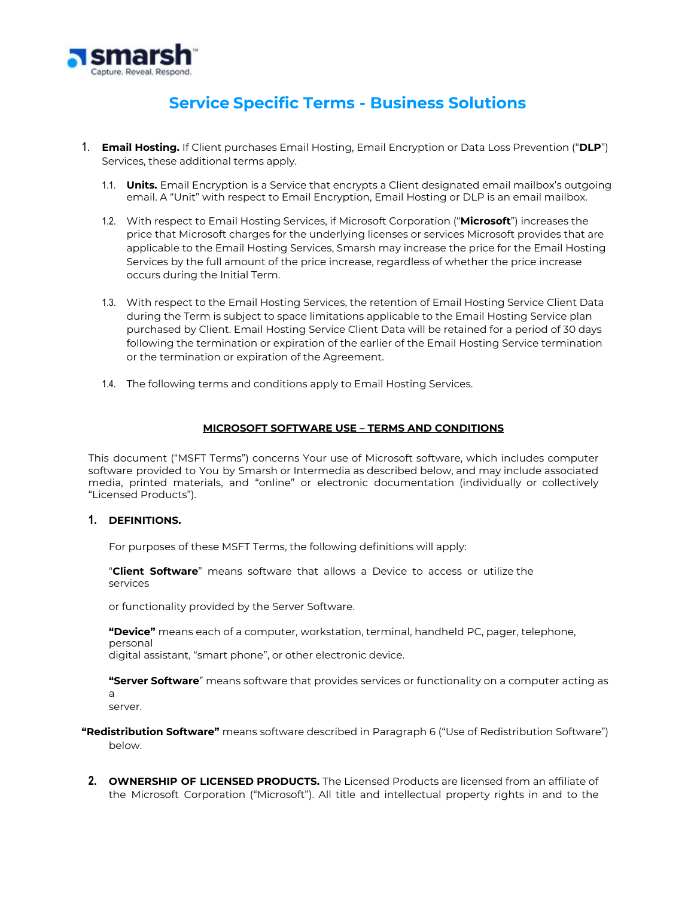

## **Service Specific Terms - Business Solutions**

- 1. **Email Hosting.** If Client purchases Email Hosting, Email Encryption or Data Loss Prevention ("**DLP**") Services, these additional terms apply.
	- 1.1. **Units.** Email Encryption is a Service that encrypts a Client designated email mailbox's outgoing email. A "Unit" with respect to Email Encryption, Email Hosting or DLP is an email mailbox.
	- 1.2. With respect to Email Hosting Services, if Microsoft Corporation ("**Microsoft**") increases the price that Microsoft charges for the underlying licenses or services Microsoft provides that are applicable to the Email Hosting Services, Smarsh may increase the price for the Email Hosting Services by the full amount of the price increase, regardless of whether the price increase occurs during the Initial Term.
	- 1.3. With respect to the Email Hosting Services, the retention of Email Hosting Service Client Data during the Term is subject to space limitations applicable to the Email Hosting Service plan purchased by Client. Email Hosting Service Client Data will be retained for a period of 30 days following the termination or expiration of the earlier of the Email Hosting Service termination or the termination or expiration of the Agreement.
	- 1.4. The following terms and conditions apply to Email Hosting Services.

## **MICROSOFT SOFTWARE USE – TERMS AND CONDITIONS**

This document ("MSFT Terms") concerns Your use of Microsoft software, which includes computer software provided to You by Smarsh or Intermedia as described below, and may include associated media, printed materials, and "online" or electronic documentation (individually or collectively "Licensed Products").

## **1. DEFINITIONS.**

For purposes of these MSFT Terms, the following definitions will apply:

"**Client Software**" means software that allows a Device to access or utilize the services

or functionality provided by the Server Software.

**"Device"** means each of a computer, workstation, terminal, handheld PC, pager, telephone, personal

digital assistant, "smart phone", or other electronic device.

**"Server Software**" means software that provides services or functionality on a computer acting as a

server.

**"Redistribution Software"** means software described in Paragraph 6 ("Use of Redistribution Software") below.

**2. OWNERSHIP OF LICENSED PRODUCTS.** The Licensed Products are licensed from an affiliate of the Microsoft Corporation ("Microsoft"). All title and intellectual property rights in and to the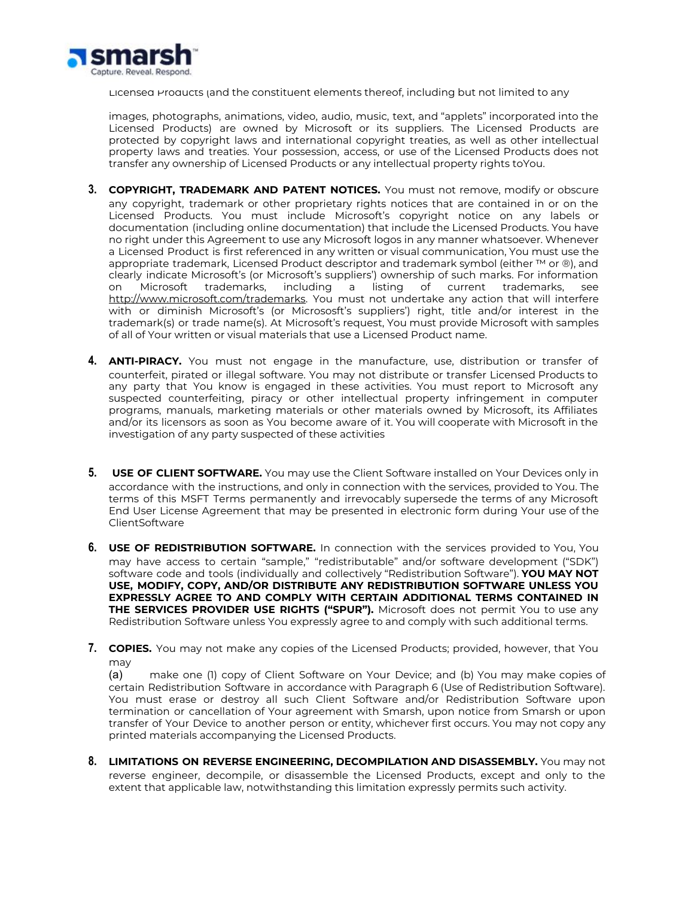

Licensed Products (and the constituent elements thereof, including but not limited to any

images, photographs, animations, video, audio, music, text, and "applets" incorporated into the Licensed Products) are owned by Microsoft or its suppliers. The Licensed Products are protected by copyright laws and international copyright treaties, as well as other intellectual property laws and treaties. Your possession, access, or use of the Licensed Products does not transfer any ownership of Licensed Products or any intellectual property rights toYou.

- **3. COPYRIGHT, TRADEMARK AND PATENT NOTICES.** You must not remove, modify or obscure any copyright, trademark or other proprietary rights notices that are contained in or on the Licensed Products. You must include Microsoft's copyright notice on any labels or documentation (including online documentation) that include the Licensed Products. You have no right under this Agreement to use any Microsoft logos in any manner whatsoever. Whenever a Licensed Product is first referenced in any written or visual communication, You must use the appropriate trademark, Licensed Product descriptor and trademark symbol (either ™ or ®), and clearly indicate Microsoft's (or Microsoft's suppliers') ownership of such marks. For information on Microsoft trademarks, including a listing of current trademarks, see [http://www.microsoft.com/trademarks.](http://www.microsoft.com/trademarks) You must not undertake any action that will interfere with or diminish Microsoft's (or Micrososft's suppliers') right, title and/or interest in the trademark(s) or trade name(s). At Microsoft's request, You must provide Microsoft with samples of all of Your written or visual materials that use a Licensed Product name.
- **4. ANTI-PIRACY.** You must not engage in the manufacture, use, distribution or transfer of counterfeit, pirated or illegal software. You may not distribute or transfer Licensed Products to any party that You know is engaged in these activities. You must report to Microsoft any suspected counterfeiting, piracy or other intellectual property infringement in computer programs, manuals, marketing materials or other materials owned by Microsoft, its Affiliates and/or its licensors as soon as You become aware of it. You will cooperate with Microsoft in the investigation of any party suspected of these activities
- **5. USE OF CLIENT SOFTWARE.** You may use the Client Software installed on Your Devices only in accordance with the instructions, and only in connection with the services, provided to You. The terms of this MSFT Terms permanently and irrevocably supersede the terms of any Microsoft End User License Agreement that may be presented in electronic form during Your use of the ClientSoftware
- **6. USE OF REDISTRIBUTION SOFTWARE.** In connection with the services provided to You, You may have access to certain "sample," "redistributable" and/or software development ("SDK") software code and tools (individually and collectively "Redistribution Software"). **YOU MAY NOT USE, MODIFY, COPY, AND/OR DISTRIBUTE ANY REDISTRIBUTION SOFTWARE UNLESS YOU EXPRESSLY AGREE TO AND COMPLY WITH CERTAIN ADDITIONAL TERMS CONTAINED IN THE SERVICES PROVIDER USE RIGHTS ("SPUR").** Microsoft does not permit You to use any Redistribution Software unless You expressly agree to and comply with such additional terms.
- **7. COPIES.** You may not make any copies of the Licensed Products; provided, however, that You may

(a) make one (1) copy of Client Software on Your Device; and (b) You may make copies of certain Redistribution Software in accordance with Paragraph 6 (Use of Redistribution Software). You must erase or destroy all such Client Software and/or Redistribution Software upon termination or cancellation of Your agreement with Smarsh, upon notice from Smarsh or upon transfer of Your Device to another person or entity, whichever first occurs. You may not copy any printed materials accompanying the Licensed Products.

**8. LIMITATIONS ON REVERSE ENGINEERING, DECOMPILATION AND DISASSEMBLY.** You may not reverse engineer, decompile, or disassemble the Licensed Products, except and only to the extent that applicable law, notwithstanding this limitation expressly permits such activity.